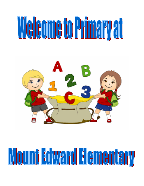# 



# Mount Fdward Flementary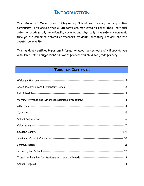# **INTRODUCTION**

The mission of Mount Edward Elementary School, as a caring and supportive community, is to ensure that all students are motivated to reach their individual potential academically, emotionally, socially, and physically in a safe environment, through the combined efforts of teachers, students, parents/guardians, and the greater community.

This handbook outlines important information about our school and will provide you with some helpful suggestions on how to prepare you child for grade primary.

# **TABLE OF CONTENTS**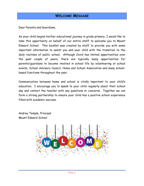# **WELCOME MESSAGE**

Dear Parents and Guardians,

As your child begins his/her educational journey in grade primary, I would like to take this opportunity on behalf of our entire staff to welcome you to Mount Edward School. This booklet was created by staff to provide you with some important information to assist you and your child with the transition to the daily routines of public school. Although Covid has limited opportunities over the past couple of years, there are typically many opportunities for parents/guardians to become involved in school life by volunteering at school events, School Advisory Council, Home and School Association and many schoolbased functions throughout the year.

Communication between home and school is vitally important to your child's education. I encourage you to speak to your child regularly about their school day and contact the teacher with any questions or concerns. Together we can form a strong partnership to ensure your child has a positive school experience filled with academic success.

Andrea Temple, Principal Mount Edward School

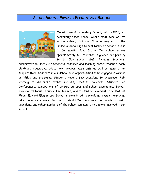# **ABOUT MOUNT EDWARD ELEMENTARY SCHOOL**



Mount Edward Elementary School, built in 1962, is a community-based school where most families live within walking distance. It is a member of the Prince Andrew High School family of schools and is in Dartmouth, Nova Scotia. Our school serves approximately 170 students in grades pre-primary to 6. Our school staff includes teachers,

administration, specialist teachers, resource and learning center teacher, early childhood educators, educational program assistants as well as many other support staff. Students in our school have opportunities to be engaged in various activities and programs. Students have a few occasions to showcase their learning at different events including seasonal concerts, Student Led Conferences, celebrations of diverse cultures and school assemblies. Schoolwide events focus on curriculum, learning and student achievement. The staff at Mount Edward Elementary School is committed to providing a warm, enriching educational experience for our students. We encourage and invite parents, guardians, and other members of the school community to become involved in our school.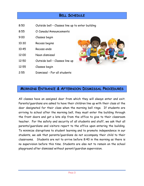# **BELL SCHEDULE**

- 8:50 Outside bell Classes line up to enter building
- 8:55 O Canada/Announcements
- 9:00 Classes begin
- 10:30 Recess begins
- 10:45 Recess ends
- 12:00 Noon dismissal
- 12:50 Outside bell Classes line up
- 12:55 Classes begin
- 2:55 Dismissal For all students



## **MORNING ENTRANCE & AFTERNOON DISMISSAL PROCEDURES**

All classes have an assigned door from which they will always enter and exit. Parents/guardians are asked to have their children line up with their class at the door designated for their class when the morning bell rings. If students are arriving to school after the morning bell, they must enter the building through the front doors and get a late slip from the office to give to their classroom teacher. For the safety and security of all students and staff, we ask that all parents/guardians and visitors report to the office upon entering the building. To minimize disruptions to student learning and to promote independence in our students, we ask that parents/guardians do not accompany their child to their classrooms. Students are not to arrive before 8:40 in the morning as there is no supervision before this time. Students are also not to remain on the school playground after dismissal without parent/guardian supervision.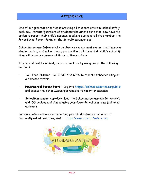# **ATTENDANCE**

One of our greatest priorities is ensuring all students arrive to school safely each day. Parents/guardians of students who attend our school now have the option to report their child's absence in advance using a toll-free number, the PowerSchool Parent Portal or the SchoolMessenger app!

SchoolMessenger SafeArrival – an absence management system that improves student safety and makes it easy for families to inform their child's school if they will be away – powers all three of these options.

If your child will be absent, please let us know by using one of the following methods:

- · **Toll-Free Number—**Call 1-833-582-6940 to report an absence using an automated system.
- · **PowerSchool Parent Portal—**Log into https://sishrsb.ednet.ns.ca/public/ and access the SchoolMessenger website to report an absence.
- · **SchoolMessenger App—**Download the SchoolMessenger app for Android and iOS devices and sign up using your PowerSchool username (full email address).

For more information about reporting your child's absence and a list of frequently asked questions, visit: https://www.hrce.ca/safearrival

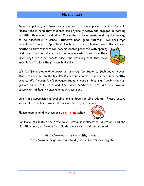# **NUTRITION**

In grade primary students are expected to bring a packed lunch and snack. Please keep in mind that students are physically active and engaged in learning activities throughout their day. To maintain optimal mental and physical energy to be successful in school, students need good nutrition. We encourage parents/guardians to "practice" lunch with their children over the summer

months so that students will become better prepared with opening their own food containers, selecting appropriate items from their lunch bags for their recess snack and ensuring that they have enough food to last them through the day.



We do offer a grab and go breakfast program for students. Each day at recess, students can come to the breakfast cart and choose from a selection of healthy snacks. We frequently offer yogurt tubes, cheese strings, multi-grain cheerios, granola bars, fresh fruit and small wrap sandwiches, etc. We also have an assortment of healthy snacks in each classroom.

Lunchtime supervision is available and is free for all students. Please ensure your child's teacher is aware if they will be staying for lunch.

Please keep in mind that we are a **NUT FREE** school.



For more information about the Nova Scotia Department of Education Food and Nutrition policy or Canada Food Guide, please visit their websites at:

[http://www.ednet.ns.ca/healthy\\_eating/](http://www.ednet.ns.ca/healthy_eating/) <http://www.hc-sc.gc.ca/fn-an/food-guide-aliment/index-eng.php>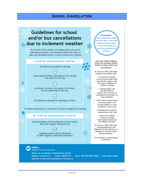## **SCHOOL CANCELLATION**

# **Guidelines for school** and/or bus cancellations due to inclement weather

Nova Scotia winter weather can change quickly and can be challenging to predict. This document outlines the steps we take when deciding whether to cancel school and/or bussing.

A 6:00 am announcement could be:

All schools are closed for the day

Some schools (either individually or by family) are closed for the day

(OR)

All schools are open, but some or all busses are not operating for the day

(OR

OR All schools are delayed in opening by 2 hours

If weather deteriorates, or is forecast to worsen throughout the morning

An 11:00 am announcement could be:

Bussed students will be picked up 2 hours earlier than their regular dismissal time

AND

Walking students will be dismissed at their regularly scheduled lunch hour

Remember: .<br>Parents/guardians always have the right to keep their child home from school if they believe that the travelling conditions are unsuitable.

How does Halifax Regional Centre for Education (HRCE) decide on school and/or bus cancellations?

By 4:30 am, HRCE staff begin to gather information from:

• A contracted weather service that provides radar and satellite imagery, realtime road conditions and weather warnings;

• A meteorologist who provides forecast details, level and type of precipitation and impact on road conditions;

• HRCE's three transportation service providers, who provide updates on road conditions in their area;

• Municipal and provincial transportation staff; and

• Other local weather services, including Environment Canada and the Weather Network.

By 5:30 am, HRCE staff make recommendations to the Regional Executive Director (or designate), who then makes the final decision.

This decision is communicated by 6:00 am.

杂

₩

₩

**Halifax Regional Centre for Education** 

Where can cancellation information be found? Website: www.hrce.ca Twitter: @HRCE\_NS Subscribe to email/text notifications at www.hrce.ca

Phone: 902-464-INFO (4636)

Local media outlets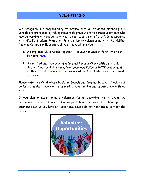We recognize our responsibility to ensure that all students attending our schools are protected by taking reasonable precautions to screen volunteers who may be working with students without direct supervision of staff. In accordance with HRCE's Student Protection Policy, prior to volunteering with the Halifax Regional Centre for Education, all volunteers will provide:

- 1. A completed Child Abuse Register Request for Search Form, which can be found [here](http://www.novascotia.ca/coms/families/abuse/documents/CAR-4001_Request_for_Search_Form_A.pdf)
- 2. A certified and true copy of a Criminal Records Check with Vulnerable Sector Check available [here,](https://www.halifax.ca/fire-police/police/criminal-record-check) from your local Police or RCMP detachment or through online organizations endorsed by Nova Scotia law enforcement agencies

Please note: the Child Abuse Register Search and Criminal Records Check must be issued in the three months preceding volunteering and updated every three years.

If you plan on assisting as a volunteer for an upcoming trip or event, we recommend having this done as soon as possible as the process can take up to 10 business days. If you have any questions, please do not hesitate to contact the office.

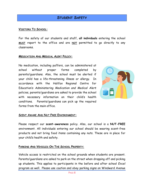# **STUDENT SAFETY**

#### **VISITORS TO SCHOOL:**

For the safety of our students and staff, **all individuals** entering the school **MUST** report to the office and are **NOT** permitted to go directly to any classrooms.

#### **MEDICATION AND MEDICAL ALERT POLICY:**

No medication, including puffers, can be administered at school without proper forms completed by parents/guardians. Also, the school must be alerted if your child has a life-threatening illness or allergy. In accordance with the Halifax Regional Centre for Education's *Administering Medication and Medical Alert*  policies, parents/guardians are asked to provide the school with necessary information on their child's health conditions. Parents/guardians can pick up the required forms from the main office.



#### **SCENT AWARE AND NUT FREE ENVIRONMENT:**

Please respect our **scent-awareness** policy. Also, our school is a **NUT-FREE** environment. All individuals entering our school should be wearing scent-free products and not bring food items containing any nuts. These are in place for your child's health and safety.

#### **PARKING AND VEHICLES ON THE SCHOOL PROPERTY:**

Vehicle access is restricted on the school grounds when students are present. Parents/guardians are asked to park on the street when dropping off and picking up students. This applies to participants in the before and after school *Excel*  program as well. Please use caution and obey parking signs on Windward Avenue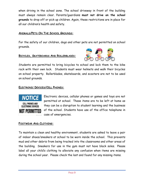when driving in the school zone. The school driveway in front of the building must always remain clear. Parents/guardians **must not drive on the school grounds** to drop off or pick up children. Again, these restrictions are in place for all our children's health and safety.

#### **ANIMALS/PETS ON THE SCHOOL GROUNDS:**

For the safety of our children, dogs and other pets are not permitted on school grounds.

#### **BICYCLES, SKATEBOARDS AND ROLLERBLADES:**



Students are permitted to bring bicycles to school and lock them to the bike rack with their own lock. Students must wear helmets and walk their bicycles on school property. Rollerblades, skateboards, and scooters are not to be used on school grounds.

#### **ELECTRONIC DEVICES/CELL PHONES:**



Electronic devices, cellular phones or games and toys are not permitted at school. These items are to be left at home as they can be a disruption to student learning and the business of the school. Students have use of the office telephone in case of emergencies.

#### **FOOTWEAR AND CLOTHING:**

To maintain a clean and healthy environment, students are asked to leave a pair of indoor shoes/sneakers at school to be worn inside the school. This prevents mud and other debris from being tracked into the classrooms and other areas of the building. Sneakers for use in the gym must not have black soles. Please label all your child's clothing to alleviate any confusion when items are missing during the school year. Please check the lost and found for any missing items.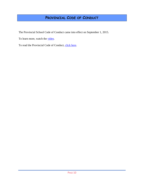# **PROVINCIAL CODE OF CONDUCT**

The Provincial School Code of Conduct came into effect on September 1, 2015.

To learn more, watch the [video.](http://dvl.ednet.ns.ca/videos/provincial-school-code-conduct)

To read the Provincial Code of Conduct, [click here.](https://www.ednet.ns.ca/sites/default/files/pubdocs-pdf/provincialschoolcodeofconduct.pdf)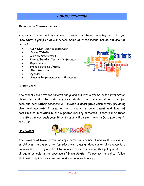# **COMMUNICATION**

#### **METHODS OF COMMUNICATING**:

A variety of means will be employed to report on student learning and to let you know what is going on at our school. Some of these means include but are not limited to:

- Curriculum Night in September
- School Website
- Monthly Newsletters
- Parent/Guardian Teacher Conferences
- Report Cards
- Phone Calls/Email/Notes
- Alert Messages
- Agendas
- Student Performances and Showcases



#### **REPORT CARD:**

The report card provides parents and guardians with outcome-based information about their child. In grade primary students do not receive letter marks for each subject; rather teachers will provide a descriptive commentary providing clear and accurate information on a student's development and level of performance in relation to the expected learning outcomes. There will be three reporting periods each year. Report cards will be sent home in December, April, and June.

#### **HOMEWORK:**



The Province of Nova Scotia has implemented a Provincial Homework Policy which establishes the expectation for educators to assign developmentally appropriate homework at each grade level to enhance student learning. This policy applies to all public schools in the province of Nova Scotia. To review the policy, follow this link: https://www.ednet.ns.ca/docs/homeworkpolicy.pdf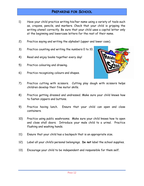# **PREPARING FOR SCHOOL**

- 1) Have your child practice writing his/her name using a variety of tools such as, crayons, pencils, and markers. Check that your child is gripping the writing utensil correctly. Be sure that your child uses a capital letter only at the beginning and lowercase letters for the rest of their name.
- 2) Practice saying and writing the alphabet (upper and lower case).
- 3) Practice counting and writing the numbers 0 to 10.
- 4) Read and enjoy books together every day!
- 5) Practice colouring and drawing.
- 6) Practice recognizing colours and shapes.



- 7) Practice cutting with scissors. Cutting play dough with scissors helps children develop their fine motor skills.
- 8) Practice getting dressed and undressed. Make sure your child knows how to fasten zippers and buttons.
- 9) Practice having lunch. Ensure that your child can open and close containers.
- 10) Practice using public washrooms. Make sure your child knows how to open and close stall doors. Introduce your male child to a urinal. Practice flushing and washing hands.
- 11) Ensure that your child has a backpack that is an appropriate size.
- 12) Label all your child's personal belongings. **Do not** label the school supplies.
- 13) Encourage your child to be independent and responsible for them self.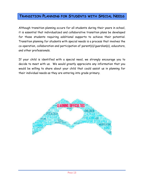# **TRANSITION PLANNING FOR STUDENTS WITH SPECIAL NEEDS**

Although transition planning occurs for all students during their years in school, it is essential that individualized and collaborative transition plans be developed for those students requiring additional supports to achieve their potential. Transition planning for students with special needs is a process that involves the co-operation, collaboration and participation of parent(s)/guardian(s), educators, and other professionals.

If your child is identified with a special need, we strongly encourage you to decide to meet with us. We would greatly appreciate any information that you would be willing to share about your child that could assist us in planning for their individual needs as they are entering into grade primary.